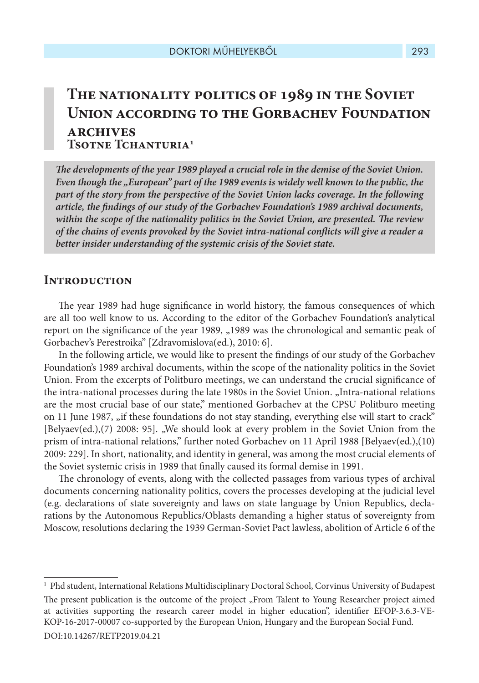# **The nationality politics of 1989 in the Soviet Union according to the Gorbachev Foundation archives Tsotne Tchanturia1**

*The developments of the year 1989 played a crucial role in the demise of the Soviet Union. Even though the "European" part of the 1989 events is widely well known to the public, the part of the story from the perspective of the Soviet Union lacks coverage. In the following article, the findings of our study of the Gorbachev Foundation's 1989 archival documents, within the scope of the nationality politics in the Soviet Union, are presented. The review of the chains of events provoked by the Soviet intra-national conflicts will give a reader a better insider understanding of the systemic crisis of the Soviet state.* 

# **Introduction**

The year 1989 had huge significance in world history, the famous consequences of which are all too well know to us. According to the editor of the Gorbachev Foundation's analytical report on the significance of the year 1989, "1989 was the chronological and semantic peak of Gorbachev's Perestroika" [Zdravomislova(ed.), 2010: 6].

In the following article, we would like to present the findings of our study of the Gorbachev Foundation's 1989 archival documents, within the scope of the nationality politics in the Soviet Union. From the excerpts of Politburo meetings, we can understand the crucial significance of the intra-national processes during the late 1980s in the Soviet Union. "Intra-national relations are the most crucial base of our state," mentioned Gorbachev at the CPSU Politburo meeting on 11 June 1987, "if these foundations do not stay standing, everything else will start to crack" [Belyaev(ed.),(7) 2008: 95]. "We should look at every problem in the Soviet Union from the prism of intra-national relations," further noted Gorbachev on 11 April 1988 [Belyaev(ed.),(10) 2009: 229]. In short, nationality, and identity in general, was among the most crucial elements of the Soviet systemic crisis in 1989 that finally caused its formal demise in 1991.

The chronology of events, along with the collected passages from various types of archival documents concerning nationality politics, covers the processes developing at the judicial level (e.g. declarations of state sovereignty and laws on state language by Union Republics, declarations by the Autonomous Republics/Oblasts demanding a higher status of sovereignty from Moscow, resolutions declaring the 1939 German-Soviet Pact lawless, abolition of Article 6 of the

<sup>1</sup> Phd student, International Relations Multidisciplinary Doctoral School, Corvinus University of Budapest The present publication is the outcome of the project "From Talent to Young Researcher project aimed at activities supporting the research career model in higher education", identifier EFOP-3.6.3-VE-KOP-16-2017-00007 co-supported by the European Union, Hungary and the European Social Fund. DOI:10.14267/RETP2019.04.21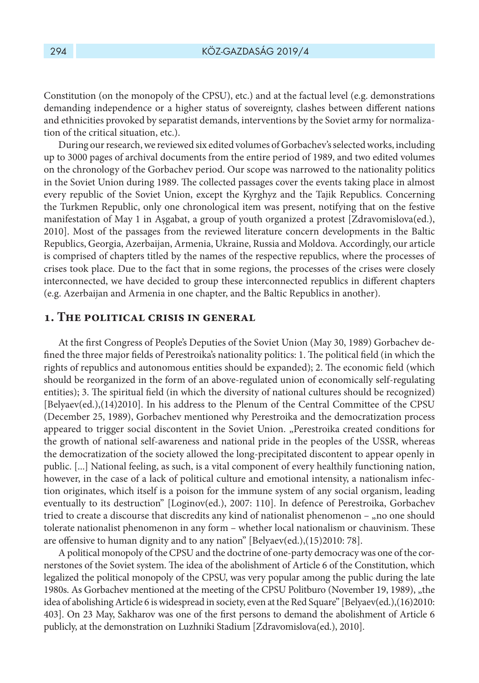Constitution (on the monopoly of the CPSU), etc.) and at the factual level (e.g. demonstrations demanding independence or a higher status of sovereignty, clashes between different nations and ethnicities provoked by separatist demands, interventions by the Soviet army for normalization of the critical situation, etc.).

During our research, we reviewed six edited volumes of Gorbachev's selected works, including up to 3000 pages of archival documents from the entire period of 1989, and two edited volumes on the chronology of the Gorbachev period. Our scope was narrowed to the nationality politics in the Soviet Union during 1989. The collected passages cover the events taking place in almost every republic of the Soviet Union, except the Kyrghyz and the Tajik Republics. Concerning the Turkmen Republic, only one chronological item was present, notifying that on the festive manifestation of May 1 in Aşgabat, a group of youth organized a protest [Zdravomislova(ed.), 2010]. Most of the passages from the reviewed literature concern developments in the Baltic Republics, Georgia, Azerbaijan, Armenia, Ukraine, Russia and Moldova. Accordingly, our article is comprised of chapters titled by the names of the respective republics, where the processes of crises took place. Due to the fact that in some regions, the processes of the crises were closely interconnected, we have decided to group these interconnected republics in different chapters (e.g. Azerbaijan and Armenia in one chapter, and the Baltic Republics in another).

#### **1. The political crisis in general**

At the first Congress of People's Deputies of the Soviet Union (May 30, 1989) Gorbachev defined the three major fields of Perestroika's nationality politics: 1. The political field (in which the rights of republics and autonomous entities should be expanded); 2. The economic field (which should be reorganized in the form of an above-regulated union of economically self-regulating entities); 3. The spiritual field (in which the diversity of national cultures should be recognized) [Belyaev(ed.),(14)2010]. In his address to the Plenum of the Central Committee of the CPSU (December 25, 1989), Gorbachev mentioned why Perestroika and the democratization process appeared to trigger social discontent in the Soviet Union. "Perestroika created conditions for the growth of national self-awareness and national pride in the peoples of the USSR, whereas the democratization of the society allowed the long-precipitated discontent to appear openly in public. [...] National feeling, as such, is a vital component of every healthily functioning nation, however, in the case of a lack of political culture and emotional intensity, a nationalism infection originates, which itself is a poison for the immune system of any social organism, leading eventually to its destruction" [Loginov(ed.), 2007: 110]. In defence of Perestroika, Gorbachev tried to create a discourse that discredits any kind of nationalist phenomenon – "no one should tolerate nationalist phenomenon in any form – whether local nationalism or chauvinism. These are offensive to human dignity and to any nation" [Belyaev(ed.),(15)2010: 78].

A political monopoly of the CPSU and the doctrine of one-party democracy was one of the cornerstones of the Soviet system. The idea of the abolishment of Article 6 of the Constitution, which legalized the political monopoly of the CPSU, was very popular among the public during the late 1980s. As Gorbachev mentioned at the meeting of the CPSU Politburo (November 19, 1989), "the idea of abolishing Article 6 is widespread in society, even at the Red Square" [Belyaev(ed.),(16)2010: 403]. On 23 May, Sakharov was one of the first persons to demand the abolishment of Article 6 publicly, at the demonstration on Luzhniki Stadium [Zdravomislova(ed.), 2010].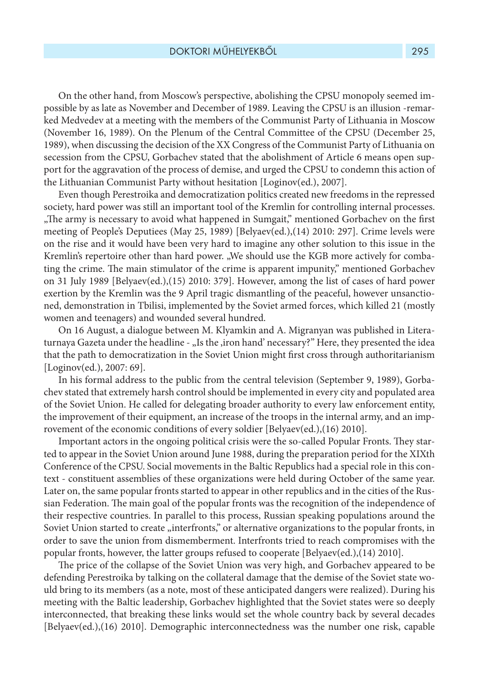On the other hand, from Moscow's perspective, abolishing the CPSU monopoly seemed impossible by as late as November and December of 1989. Leaving the CPSU is an illusion -remarked Medvedev at a meeting with the members of the Communist Party of Lithuania in Moscow (November 16, 1989). On the Plenum of the Central Committee of the CPSU (December 25, 1989), when discussing the decision of the XX Congress of the Communist Party of Lithuania on secession from the CPSU, Gorbachev stated that the abolishment of Article 6 means open support for the aggravation of the process of demise, and urged the CPSU to condemn this action of the Lithuanian Communist Party without hesitation [Loginov(ed.), 2007].

Even though Perestroika and democratization politics created new freedoms in the repressed society, hard power was still an important tool of the Kremlin for controlling internal processes. "The army is necessary to avoid what happened in Sumgait," mentioned Gorbachev on the first meeting of People's Deputiees (May 25, 1989) [Belyaev(ed.),(14) 2010: 297]. Crime levels were on the rise and it would have been very hard to imagine any other solution to this issue in the Kremlin's repertoire other than hard power. "We should use the KGB more actively for combating the crime. The main stimulator of the crime is apparent impunity," mentioned Gorbachev on 31 July 1989 [Belyaev(ed.),(15) 2010: 379]. However, among the list of cases of hard power exertion by the Kremlin was the 9 April tragic dismantling of the peaceful, however unsanctioned, demonstration in Tbilisi, implemented by the Soviet armed forces, which killed 21 (mostly women and teenagers) and wounded several hundred.

On 16 August, a dialogue between M. Klyamkin and A. Migranyan was published in Literaturnaya Gazeta under the headline - "Is the ,iron hand' necessary?" Here, they presented the idea that the path to democratization in the Soviet Union might first cross through authoritarianism [Loginov(ed.), 2007: 69].

In his formal address to the public from the central television (September 9, 1989), Gorbachev stated that extremely harsh control should be implemented in every city and populated area of the Soviet Union. He called for delegating broader authority to every law enforcement entity, the improvement of their equipment, an increase of the troops in the internal army, and an improvement of the economic conditions of every soldier [Belyaev(ed.),(16) 2010].

Important actors in the ongoing political crisis were the so-called Popular Fronts. They started to appear in the Soviet Union around June 1988, during the preparation period for the XIXth Conference of the CPSU. Social movements in the Baltic Republics had a special role in this context - constituent assemblies of these organizations were held during October of the same year. Later on, the same popular fronts started to appear in other republics and in the cities of the Russian Federation. The main goal of the popular fronts was the recognition of the independence of their respective countries. In parallel to this process, Russian speaking populations around the Soviet Union started to create "interfronts," or alternative organizations to the popular fronts, in order to save the union from dismemberment. Interfronts tried to reach compromises with the popular fronts, however, the latter groups refused to cooperate [Belyaev(ed.),(14) 2010].

The price of the collapse of the Soviet Union was very high, and Gorbachev appeared to be defending Perestroika by talking on the collateral damage that the demise of the Soviet state would bring to its members (as a note, most of these anticipated dangers were realized). During his meeting with the Baltic leadership, Gorbachev highlighted that the Soviet states were so deeply interconnected, that breaking these links would set the whole country back by several decades [Belyaev(ed.),(16) 2010]. Demographic interconnectedness was the number one risk, capable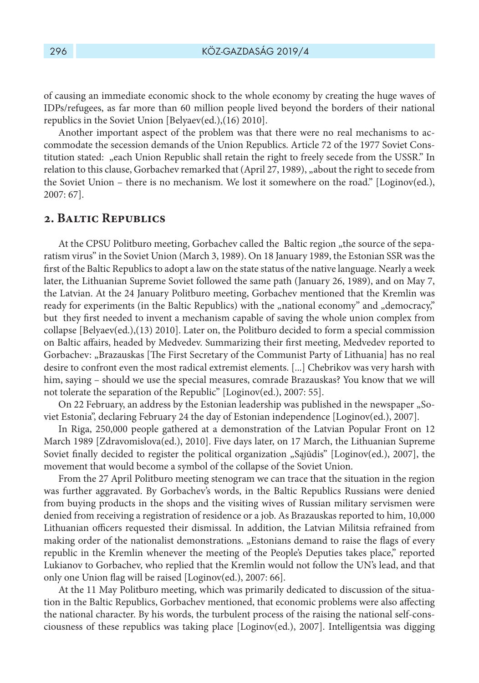of causing an immediate economic shock to the whole economy by creating the huge waves of IDPs/refugees, as far more than 60 million people lived beyond the borders of their national republics in the Soviet Union [Belyaev(ed.),(16) 2010].

Another important aspect of the problem was that there were no real mechanisms to accommodate the secession demands of the Union Republics. Article 72 of the 1977 Soviet Constitution stated: "each Union Republic shall retain the right to freely secede from the USSR." In relation to this clause, Gorbachev remarked that (April 27, 1989), "about the right to secede from the Soviet Union – there is no mechanism. We lost it somewhere on the road." [Loginov(ed.), 2007: 67].

# **2. Baltic Republics**

At the CPSU Politburo meeting, Gorbachev called the Baltic region "the source of the separatism virus" in the Soviet Union (March 3, 1989). On 18 January 1989, the Estonian SSR was the first of the Baltic Republics to adopt a law on the state status of the native language. Nearly a week later, the Lithuanian Supreme Soviet followed the same path (January 26, 1989), and on May 7, the Latvian. At the 24 January Politburo meeting, Gorbachev mentioned that the Kremlin was ready for experiments (in the Baltic Republics) with the "national economy" and "democracy," but they first needed to invent a mechanism capable of saving the whole union complex from collapse [Belyaev(ed.),(13) 2010]. Later on, the Politburo decided to form a special commission on Baltic affairs, headed by Medvedev. Summarizing their first meeting, Medvedev reported to Gorbachev: "Brazauskas [The First Secretary of the Communist Party of Lithuania] has no real desire to confront even the most radical extremist elements. [...] Chebrikov was very harsh with him, saying – should we use the special measures, comrade Brazauskas? You know that we will not tolerate the separation of the Republic" [Loginov(ed.), 2007: 55].

On 22 February, an address by the Estonian leadership was published in the newspaper "Soviet Estonia", declaring February 24 the day of Estonian independence [Loginov(ed.), 2007].

In Riga, 250,000 people gathered at a demonstration of the Latvian Popular Front on 12 March 1989 [Zdravomislova(ed.), 2010]. Five days later, on 17 March, the Lithuanian Supreme Soviet finally decided to register the political organization "Sąjūdis" [Loginov(ed.), 2007], the movement that would become a symbol of the collapse of the Soviet Union.

From the 27 April Politburo meeting stenogram we can trace that the situation in the region was further aggravated. By Gorbachev's words, in the Baltic Republics Russians were denied from buying products in the shops and the visiting wives of Russian military servismen were denied from receiving a registration of residence or a job. As Brazauskas reported to him, 10,000 Lithuanian officers requested their dismissal. In addition, the Latvian Militsia refrained from making order of the nationalist demonstrations. "Estonians demand to raise the flags of every republic in the Kremlin whenever the meeting of the People's Deputies takes place," reported Lukianov to Gorbachev, who replied that the Kremlin would not follow the UN's lead, and that only one Union flag will be raised [Loginov(ed.), 2007: 66].

At the 11 May Politburo meeting, which was primarily dedicated to discussion of the situation in the Baltic Republics, Gorbachev mentioned, that economic problems were also affecting the national character. By his words, the turbulent process of the raising the national self-consciousness of these republics was taking place [Loginov(ed.), 2007]. Intelligentsia was digging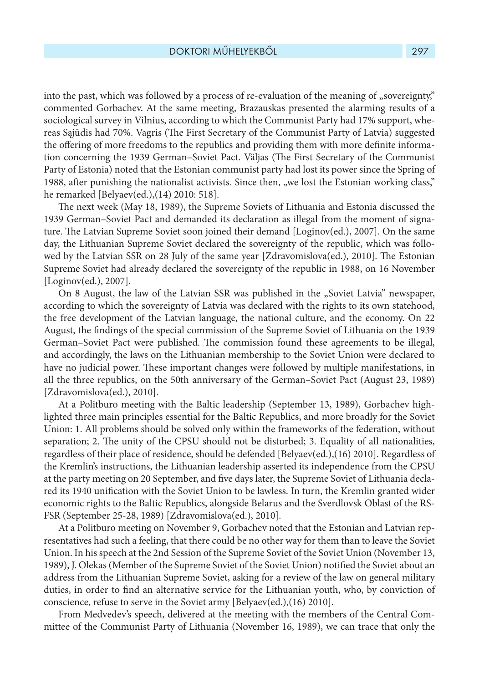into the past, which was followed by a process of re-evaluation of the meaning of "sovereignty," commented Gorbachev. At the same meeting, Brazauskas presented the alarming results of a sociological survey in Vilnius, according to which the Communist Party had 17% support, whereas Sąjūdis had 70%. Vagris (The First Secretary of the Communist Party of Latvia) suggested the offering of more freedoms to the republics and providing them with more definite information concerning the 1939 German–Soviet Pact. Väljas (The First Secretary of the Communist Party of Estonia) noted that the Estonian communist party had lost its power since the Spring of 1988, after punishing the nationalist activists. Since then, "we lost the Estonian working class," he remarked [Belyaev(ed.),(14) 2010: 518].

The next week (May 18, 1989), the Supreme Soviets of Lithuania and Estonia discussed the 1939 German–Soviet Pact and demanded its declaration as illegal from the moment of signature. The Latvian Supreme Soviet soon joined their demand [Loginov(ed.), 2007]. On the same day, the Lithuanian Supreme Soviet declared the sovereignty of the republic, which was followed by the Latvian SSR on 28 July of the same year [Zdravomislova(ed.), 2010]. The Estonian Supreme Soviet had already declared the sovereignty of the republic in 1988, on 16 November [Loginov(ed.), 2007].

On 8 August, the law of the Latvian SSR was published in the "Soviet Latvia" newspaper, according to which the sovereignty of Latvia was declared with the rights to its own statehood, the free development of the Latvian language, the national culture, and the economy. On 22 August, the findings of the special commission of the Supreme Soviet of Lithuania on the 1939 German–Soviet Pact were published. The commission found these agreements to be illegal, and accordingly, the laws on the Lithuanian membership to the Soviet Union were declared to have no judicial power. These important changes were followed by multiple manifestations, in all the three republics, on the 50th anniversary of the German–Soviet Pact (August 23, 1989) [Zdravomislova(ed.), 2010].

At a Politburo meeting with the Baltic leadership (September 13, 1989), Gorbachev highlighted three main principles essential for the Baltic Republics, and more broadly for the Soviet Union: 1. All problems should be solved only within the frameworks of the federation, without separation; 2. The unity of the CPSU should not be disturbed; 3. Equality of all nationalities, regardless of their place of residence, should be defended [Belyaev(ed.),(16) 2010]. Regardless of the Kremlin's instructions, the Lithuanian leadership asserted its independence from the CPSU at the party meeting on 20 September, and five days later, the Supreme Soviet of Lithuania declared its 1940 unification with the Soviet Union to be lawless. In turn, the Kremlin granted wider economic rights to the Baltic Republics, alongside Belarus and the Sverdlovsk Oblast of the RS-FSR (September 25-28, 1989) [Zdravomislova(ed.), 2010].

At a Politburo meeting on November 9, Gorbachev noted that the Estonian and Latvian representatives had such a feeling, that there could be no other way for them than to leave the Soviet Union. In his speech at the 2nd Session of the Supreme Soviet of the Soviet Union (November 13, 1989), J. Olekas (Member of the Supreme Soviet of the Soviet Union) notified the Soviet about an address from the Lithuanian Supreme Soviet, asking for a review of the law on general military duties, in order to find an alternative service for the Lithuanian youth, who, by conviction of conscience, refuse to serve in the Soviet army [Belyaev(ed.),(16) 2010].

From Medvedev's speech, delivered at the meeting with the members of the Central Committee of the Communist Party of Lithuania (November 16, 1989), we can trace that only the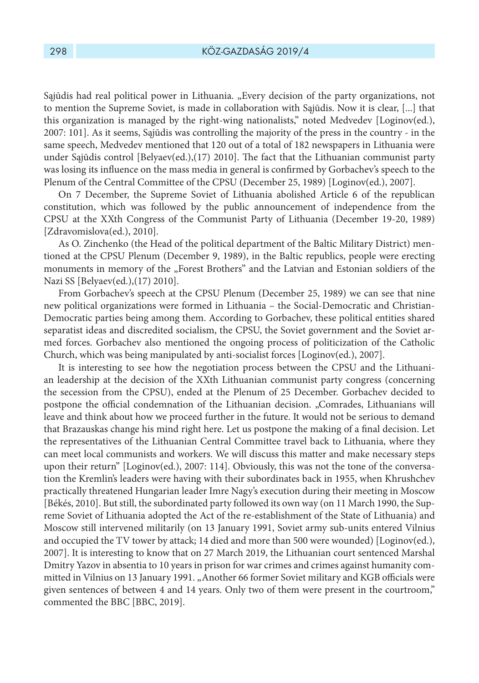Sąjūdis had real political power in Lithuania. "Every decision of the party organizations, not to mention the Supreme Soviet, is made in collaboration with Sąjūdis. Now it is clear, [...] that this organization is managed by the right-wing nationalists," noted Medvedev [Loginov(ed.), 2007: 101]. As it seems, Sąjūdis was controlling the majority of the press in the country - in the same speech, Medvedev mentioned that 120 out of a total of 182 newspapers in Lithuania were under Sąjūdis control [Belyaev(ed.),(17) 2010]. The fact that the Lithuanian communist party was losing its influence on the mass media in general is confirmed by Gorbachev's speech to the Plenum of the Central Committee of the CPSU (December 25, 1989) [Loginov(ed.), 2007].

On 7 December, the Supreme Soviet of Lithuania abolished Article 6 of the republican constitution, which was followed by the public announcement of independence from the CPSU at the XXth Congress of the Communist Party of Lithuania (December 19-20, 1989) [Zdravomislova(ed.), 2010].

As O. Zinchenko (the Head of the political department of the Baltic Military District) mentioned at the CPSU Plenum (December 9, 1989), in the Baltic republics, people were erecting monuments in memory of the "Forest Brothers" and the Latvian and Estonian soldiers of the Nazi SS [Belyaev(ed.),(17) 2010].

From Gorbachev's speech at the CPSU Plenum (December 25, 1989) we can see that nine new political organizations were formed in Lithuania – the Social-Democratic and Christian-Democratic parties being among them. According to Gorbachev, these political entities shared separatist ideas and discredited socialism, the CPSU, the Soviet government and the Soviet armed forces. Gorbachev also mentioned the ongoing process of politicization of the Catholic Church, which was being manipulated by anti-socialist forces [Loginov(ed.), 2007].

It is interesting to see how the negotiation process between the CPSU and the Lithuanian leadership at the decision of the XXth Lithuanian communist party congress (concerning the secession from the CPSU), ended at the Plenum of 25 December. Gorbachev decided to postpone the official condemnation of the Lithuanian decision. "Comrades, Lithuanians will leave and think about how we proceed further in the future. It would not be serious to demand that Brazauskas change his mind right here. Let us postpone the making of a final decision. Let the representatives of the Lithuanian Central Committee travel back to Lithuania, where they can meet local communists and workers. We will discuss this matter and make necessary steps upon their return" [Loginov(ed.), 2007: 114]. Obviously, this was not the tone of the conversation the Kremlin's leaders were having with their subordinates back in 1955, when Khrushchev practically threatened Hungarian leader Imre Nagy's execution during their meeting in Moscow [Békés, 2010]. But still, the subordinated party followed its own way (on 11 March 1990, the Supreme Soviet of Lithuania adopted the Act of the re-establishment of the State of Lithuania) and Moscow still intervened militarily (on 13 January 1991, Soviet army sub-units entered Vilnius and occupied the TV tower by attack; 14 died and more than 500 were wounded) [Loginov(ed.), 2007]. It is interesting to know that on 27 March 2019, the Lithuanian court sentenced Marshal Dmitry Yazov in absentia to 10 years in prison for war crimes and crimes against humanity committed in Vilnius on 13 January 1991. "Another 66 former Soviet military and KGB officials were given sentences of between 4 and 14 years. Only two of them were present in the courtroom," commented the BBC [BBC, 2019].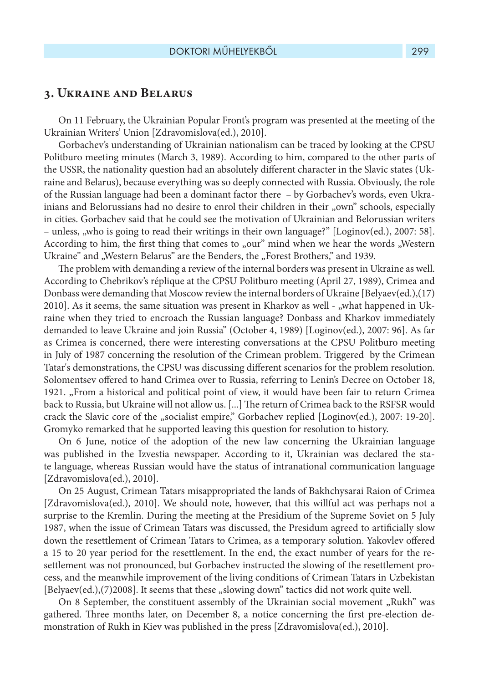## **3. Ukraine and Belarus**

On 11 February, the Ukrainian Popular Front's program was presented at the meeting of the Ukrainian Writers' Union [Zdravomislova(ed.), 2010].

Gorbachev's understanding of Ukrainian nationalism can be traced by looking at the CPSU Politburo meeting minutes (March 3, 1989). According to him, compared to the other parts of the USSR, the nationality question had an absolutely different character in the Slavic states (Ukraine and Belarus), because everything was so deeply connected with Russia. Obviously, the role of the Russian language had been a dominant factor there – by Gorbachev's words, even Ukrainians and Belorussians had no desire to enrol their children in their "own" schools, especially in cities. Gorbachev said that he could see the motivation of Ukrainian and Belorussian writers – unless, "who is going to read their writings in their own language?" [Loginov(ed.), 2007: 58]. According to him, the first thing that comes to "our" mind when we hear the words "Western Ukraine" and "Western Belarus" are the Benders, the "Forest Brothers," and 1939.

The problem with demanding a review of the internal borders was present in Ukraine as well. According to Chebrikov's réplique at the CPSU Politburo meeting (April 27, 1989), Crimea and Donbass were demanding that Moscow review the internal borders of Ukraine [Belyaev(ed.),(17)  $2010$ ]. As it seems, the same situation was present in Kharkov as well - "what happened in Ukraine when they tried to encroach the Russian language? Donbass and Kharkov immediately demanded to leave Ukraine and join Russia" (October 4, 1989) [Loginov(ed.), 2007: 96]. As far as Crimea is concerned, there were interesting conversations at the CPSU Politburo meeting in July of 1987 concerning the resolution of the Crimean problem. Triggered by the Crimean Tatar's demonstrations, the CPSU was discussing different scenarios for the problem resolution. Solomentsev offered to hand Crimea over to Russia, referring to Lenin's Decree on October 18, 1921. "From a historical and political point of view, it would have been fair to return Crimea back to Russia, but Ukraine will not allow us. [...] The return of Crimea back to the RSFSR would crack the Slavic core of the "socialist empire," Gorbachev replied [Loginov(ed.), 2007: 19-20]. Gromyko remarked that he supported leaving this question for resolution to history.

On 6 June, notice of the adoption of the new law concerning the Ukrainian language was published in the Izvestia newspaper. According to it, Ukrainian was declared the state language, whereas Russian would have the status of intranational communication language [Zdravomislova(ed.), 2010].

On 25 August, Crimean Tatars misappropriated the lands of Bakhchysarai Raion of Crimea [Zdravomislova(ed.), 2010]. We should note, however, that this willful act was perhaps not a surprise to the Kremlin. During the meeting at the Presidium of the Supreme Soviet on 5 July 1987, when the issue of Crimean Tatars was discussed, the Presidum agreed to artificially slow down the resettlement of Crimean Tatars to Crimea, as a temporary solution. Yakovlev offered a 15 to 20 year period for the resettlement. In the end, the exact number of years for the resettlement was not pronounced, but Gorbachev instructed the slowing of the resettlement process, and the meanwhile improvement of the living conditions of Crimean Tatars in Uzbekistan [Belyaev(ed.),(7)2008]. It seems that these "slowing down" tactics did not work quite well.

On 8 September, the constituent assembly of the Ukrainian social movement "Rukh" was gathered. Three months later, on December 8, a notice concerning the first pre-election demonstration of Rukh in Kiev was published in the press [Zdravomislova(ed.), 2010].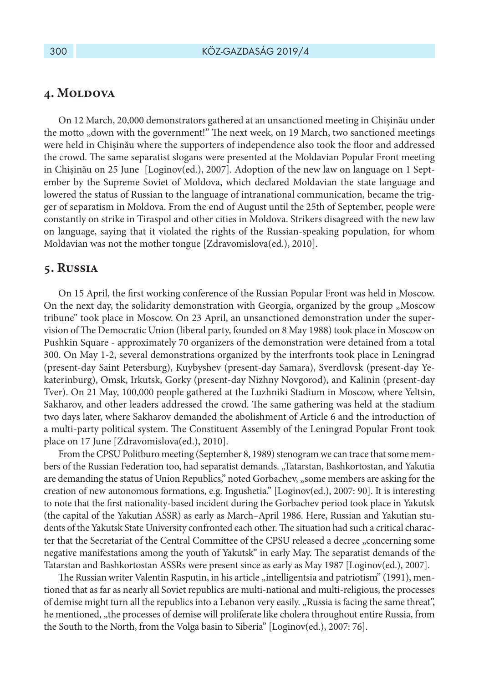## 4. MOLDOVA

On 12 March, 20,000 demonstrators gathered at an unsanctioned meeting in Chișinău under the motto "down with the government!" The next week, on 19 March, two sanctioned meetings were held in Chișinău where the supporters of independence also took the floor and addressed the crowd. The same separatist slogans were presented at the Moldavian Popular Front meeting in Chișinău on 25 June [Loginov(ed.), 2007]. Adoption of the new law on language on 1 September by the Supreme Soviet of Moldova, which declared Moldavian the state language and lowered the status of Russian to the language of intranational communication, became the trigger of separatism in Moldova. From the end of August until the 25th of September, people were constantly on strike in Tiraspol and other cities in Moldova. Strikers disagreed with the new law on language, saying that it violated the rights of the Russian-speaking population, for whom Moldavian was not the mother tongue [Zdravomislova(ed.), 2010].

#### **5. Russia**

On 15 April, the first working conference of the Russian Popular Front was held in Moscow. On the next day, the solidarity demonstration with Georgia, organized by the group "Moscow tribune" took place in Moscow. On 23 April, an unsanctioned demonstration under the supervision of The Democratic Union (liberal party, founded on 8 May 1988) took place in Moscow on Pushkin Square - approximately 70 organizers of the demonstration were detained from a total 300. On May 1-2, several demonstrations organized by the interfronts took place in Leningrad (present-day Saint Petersburg), Kuybyshev (present-day Samara), Sverdlovsk (present-day Yekaterinburg), Omsk, Irkutsk, Gorky (present-day Nizhny Novgorod), and Kalinin (present-day Tver). On 21 May, 100,000 people gathered at the Luzhniki Stadium in Moscow, where Yeltsin, Sakharov, and other leaders addressed the crowd. The same gathering was held at the stadium two days later, where Sakharov demanded the abolishment of Article 6 and the introduction of a multi-party political system. The Constituent Assembly of the Leningrad Popular Front took place on 17 June [Zdravomislova(ed.), 2010].

From the CPSU Politburo meeting (September 8, 1989) stenogram we can trace that some members of the Russian Federation too, had separatist demands. "Tatarstan, Bashkortostan, and Yakutia are demanding the status of Union Republics," noted Gorbachev, "some members are asking for the creation of new autonomous formations, e.g. Ingushetia." [Loginov(ed.), 2007: 90]. It is interesting to note that the first nationality-based incident during the Gorbachev period took place in Yakutsk (the capital of the Yakutian ASSR) as early as March–April 1986. Here, Russian and Yakutian students of the Yakutsk State University confronted each other. The situation had such a critical character that the Secretariat of the Central Committee of the CPSU released a decree "concerning some negative manifestations among the youth of Yakutsk" in early May. The separatist demands of the Tatarstan and Bashkortostan ASSRs were present since as early as May 1987 [Loginov(ed.), 2007].

The Russian writer Valentin Rasputin, in his article "intelligentsia and patriotism" (1991), mentioned that as far as nearly all Soviet republics are multi-national and multi-religious, the processes of demise might turn all the republics into a Lebanon very easily. "Russia is facing the same threat", he mentioned, "the processes of demise will proliferate like cholera throughout entire Russia, from the South to the North, from the Volga basin to Siberia" [Loginov(ed.), 2007: 76].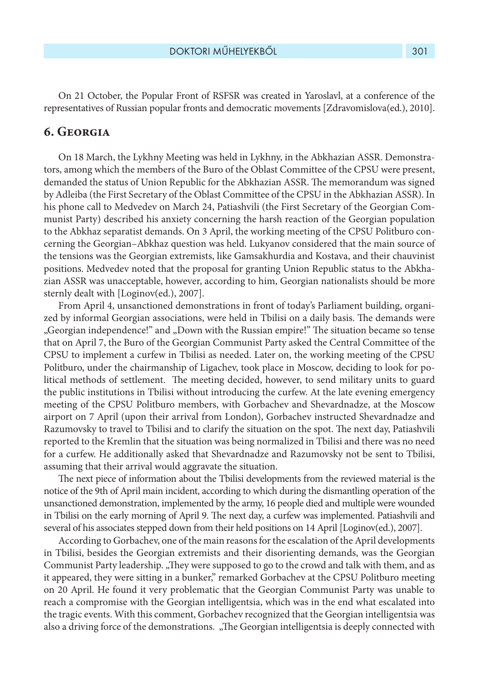On 21 October, the Popular Front of RSFSR was created in Yaroslavl, at a conference of the representatives of Russian popular fronts and democratic movements [Zdravomislova(ed.), 2010].

# **6. Georgia**

On 18 March, the Lykhny Meeting was held in Lykhny, in the Abkhazian ASSR. Demonstrators, among which the members of the Buro of the Oblast Committee of the CPSU were present, demanded the status of Union Republic for the Abkhazian ASSR. The memorandum was signed by Adleiba (the First Secretary of the Oblast Committee of the CPSU in the Abkhazian ASSR). In his phone call to Medvedev on March 24, Patiashvili (the First Secretary of the Georgian Communist Party) described his anxiety concerning the harsh reaction of the Georgian population to the Abkhaz separatist demands. On 3 April, the working meeting of the CPSU Politburo concerning the Georgian–Abkhaz question was held. Lukyanov considered that the main source of the tensions was the Georgian extremists, like Gamsakhurdia and Kostava, and their chauvinist positions. Medvedev noted that the proposal for granting Union Republic status to the Abkhazian ASSR was unacceptable, however, according to him, Georgian nationalists should be more sternly dealt with [Loginov(ed.), 2007].

From April 4, unsanctioned demonstrations in front of today's Parliament building, organized by informal Georgian associations, were held in Tbilisi on a daily basis. The demands were "Georgian independence!" and "Down with the Russian empire!" The situation became so tense that on April 7, the Buro of the Georgian Communist Party asked the Central Committee of the CPSU to implement a curfew in Tbilisi as needed. Later on, the working meeting of the CPSU Politburo, under the chairmanship of Ligachev, took place in Moscow, deciding to look for political methods of settlement. The meeting decided, however, to send military units to guard the public institutions in Tbilisi without introducing the curfew. At the late evening emergency meeting of the CPSU Politburo members, with Gorbachev and Shevardnadze, at the Moscow airport on 7 April (upon their arrival from London), Gorbachev instructed Shevardnadze and Razumovsky to travel to Tbilisi and to clarify the situation on the spot. The next day, Patiashvili reported to the Kremlin that the situation was being normalized in Tbilisi and there was no need for a curfew. He additionally asked that Shevardnadze and Razumovsky not be sent to Tbilisi, assuming that their arrival would aggravate the situation.

The next piece of information about the Tbilisi developments from the reviewed material is the notice of the 9th of April main incident, according to which during the dismantling operation of the unsanctioned demonstration, implemented by the army, 16 people died and multiple were wounded in Tbilisi on the early morning of April 9. The next day, a curfew was implemented. Patiashvili and several of his associates stepped down from their held positions on 14 April [Loginov(ed.), 2007].

According to Gorbachev, one of the main reasons for the escalation of the April developments in Tbilisi, besides the Georgian extremists and their disorienting demands, was the Georgian Communist Party leadership. "They were supposed to go to the crowd and talk with them, and as it appeared, they were sitting in a bunker," remarked Gorbachev at the CPSU Politburo meeting on 20 April. He found it very problematic that the Georgian Communist Party was unable to reach a compromise with the Georgian intelligentsia, which was in the end what escalated into the tragic events. With this comment, Gorbachev recognized that the Georgian intelligentsia was also a driving force of the demonstrations. "The Georgian intelligentsia is deeply connected with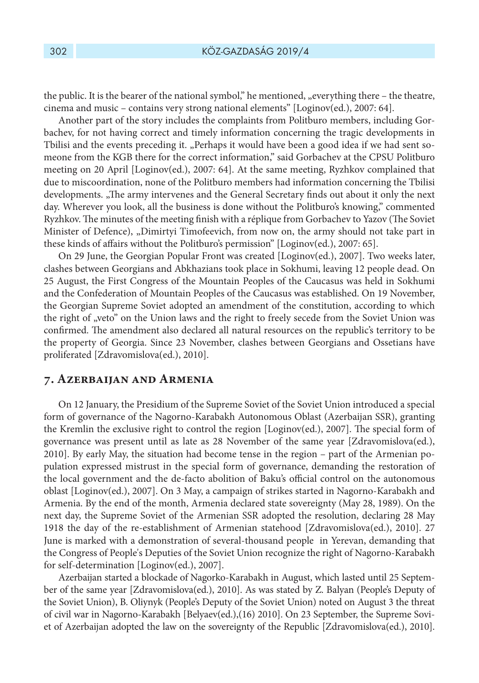the public. It is the bearer of the national symbol," he mentioned, "everything there – the theatre, cinema and music – contains very strong national elements" [Loginov(ed.), 2007: 64].

Another part of the story includes the complaints from Politburo members, including Gorbachev, for not having correct and timely information concerning the tragic developments in Tbilisi and the events preceding it. "Perhaps it would have been a good idea if we had sent someone from the KGB there for the correct information," said Gorbachev at the CPSU Politburo meeting on 20 April [Loginov(ed.), 2007: 64]. At the same meeting, Ryzhkov complained that due to miscoordination, none of the Politburo members had information concerning the Tbilisi developments. "The army intervenes and the General Secretary finds out about it only the next day. Wherever you look, all the business is done without the Politburo's knowing," commented Ryzhkov. The minutes of the meeting finish with a réplique from Gorbachev to Yazov (The Soviet Minister of Defence), "Dimirtyi Timofeevich, from now on, the army should not take part in these kinds of affairs without the Politburo's permission" [Loginov(ed.), 2007: 65].

On 29 June, the Georgian Popular Front was created [Loginov(ed.), 2007]. Two weeks later, clashes between Georgians and Abkhazians took place in Sokhumi, leaving 12 people dead. On 25 August, the First Congress of the Mountain Peoples of the Caucasus was held in Sokhumi and the Confederation of Mountain Peoples of the Caucasus was established. On 19 November, the Georgian Supreme Soviet adopted an amendment of the constitution, according to which the right of "veto" on the Union laws and the right to freely secede from the Soviet Union was confirmed. The amendment also declared all natural resources on the republic's territory to be the property of Georgia. Since 23 November, clashes between Georgians and Ossetians have proliferated [Zdravomislova(ed.), 2010].

#### **7. Azerbaijan and Armenia**

On 12 January, the Presidium of the Supreme Soviet of the Soviet Union introduced a special form of governance of the Nagorno-Karabakh Autonomous Oblast (Azerbaijan SSR), granting the Kremlin the exclusive right to control the region [Loginov(ed.), 2007]. The special form of governance was present until as late as 28 November of the same year [Zdravomislova(ed.), 2010]. By early May, the situation had become tense in the region – part of the Armenian population expressed mistrust in the special form of governance, demanding the restoration of the local government and the de-facto abolition of Baku's official control on the autonomous oblast [Loginov(ed.), 2007]. On 3 May, a campaign of strikes started in Nagorno-Karabakh and Armenia. By the end of the month, Armenia declared state sovereignty (May 28, 1989). On the next day, the Supreme Soviet of the Armenian SSR adopted the resolution, declaring 28 May 1918 the day of the re-establishment of Armenian statehood [Zdravomislova(ed.), 2010]. 27 June is marked with a demonstration of several-thousand people in Yerevan, demanding that the Congress of People's Deputies of the Soviet Union recognize the right of Nagorno-Karabakh for self-determination [Loginov(ed.), 2007].

Azerbaijan started a blockade of Nagorko-Karabakh in August, which lasted until 25 September of the same year [Zdravomislova(ed.), 2010]. As was stated by Z. Balyan (People's Deputy of the Soviet Union), B. Oliynyk (People's Deputy of the Soviet Union) noted on August 3 the threat of civil war in Nagorno-Karabakh [Belyaev(ed.),(16) 2010]. On 23 September, the Supreme Soviet of Azerbaijan adopted the law on the sovereignty of the Republic [Zdravomislova(ed.), 2010].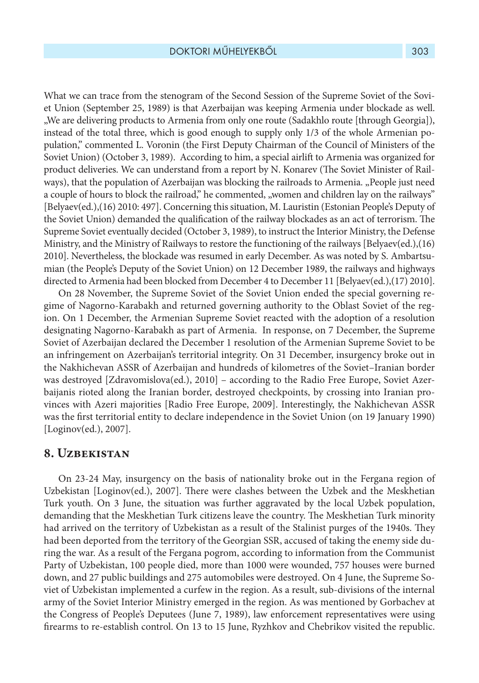What we can trace from the stenogram of the Second Session of the Supreme Soviet of the Soviet Union (September 25, 1989) is that Azerbaijan was keeping Armenia under blockade as well. "We are delivering products to Armenia from only one route (Sadakhlo route [through Georgia]), instead of the total three, which is good enough to supply only 1/3 of the whole Armenian population," commented L. Voronin (the First Deputy Chairman of the Council of Ministers of the Soviet Union) (October 3, 1989). According to him, a special airlift to Armenia was organized for product deliveries. We can understand from a report by N. Konarev (The Soviet Minister of Railways), that the population of Azerbaijan was blocking the railroads to Armenia. "People just need a couple of hours to block the railroad," he commented, "women and children lay on the railways" [Belyaev(ed.),(16) 2010: 497]. Concerning this situation, M. Lauristin (Estonian People's Deputy of the Soviet Union) demanded the qualification of the railway blockades as an act of terrorism. The Supreme Soviet eventually decided (October 3, 1989), to instruct the Interior Ministry, the Defense Ministry, and the Ministry of Railways to restore the functioning of the railways [Belyaev(ed.),(16) 2010]. Nevertheless, the blockade was resumed in early December. As was noted by S. Ambartsumian (the People's Deputy of the Soviet Union) on 12 December 1989, the railways and highways directed to Armenia had been blocked from December 4 to December 11 [Belyaev(ed.),(17) 2010].

On 28 November, the Supreme Soviet of the Soviet Union ended the special governing regime of Nagorno-Karabakh and returned governing authority to the Oblast Soviet of the region. On 1 December, the Armenian Supreme Soviet reacted with the adoption of a resolution designating Nagorno-Karabakh as part of Armenia. In response, on 7 December, the Supreme Soviet of Azerbaijan declared the December 1 resolution of the Armenian Supreme Soviet to be an infringement on Azerbaijan's territorial integrity. On 31 December, insurgency broke out in the Nakhichevan ASSR of Azerbaijan and hundreds of kilometres of the Soviet–Iranian border was destroyed [Zdravomislova(ed.), 2010] – according to the Radio Free Europe, Soviet Azerbaijanis rioted along the Iranian border, destroyed checkpoints, by crossing into Iranian provinces with Azeri majorities [Radio Free Europe, 2009]. Interestingly, the Nakhichevan ASSR was the first territorial entity to declare independence in the Soviet Union (on 19 January 1990) [Loginov(ed.), 2007].

# **8. Uzbekistan**

On 23-24 May, insurgency on the basis of nationality broke out in the Fergana region of Uzbekistan [Loginov(ed.), 2007]. There were clashes between the Uzbek and the Meskhetian Turk youth. On 3 June, the situation was further aggravated by the local Uzbek population, demanding that the Meskhetian Turk citizens leave the country. The Meskhetian Turk minority had arrived on the territory of Uzbekistan as a result of the Stalinist purges of the 1940s. They had been deported from the territory of the Georgian SSR, accused of taking the enemy side during the war. As a result of the Fergana pogrom, according to information from the Communist Party of Uzbekistan, 100 people died, more than 1000 were wounded, 757 houses were burned down, and 27 public buildings and 275 automobiles were destroyed. On 4 June, the Supreme Soviet of Uzbekistan implemented a curfew in the region. As a result, sub-divisions of the internal army of the Soviet Interior Ministry emerged in the region. As was mentioned by Gorbachev at the Congress of People's Deputees (June 7, 1989), law enforcement representatives were using firearms to re-establish control. On 13 to 15 June, Ryzhkov and Chebrikov visited the republic.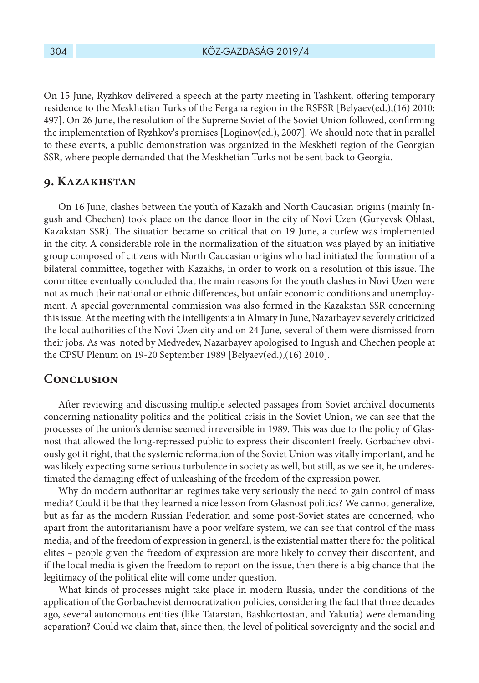On 15 June, Ryzhkov delivered a speech at the party meeting in Tashkent, offering temporary residence to the Meskhetian Turks of the Fergana region in the RSFSR [Belyaev(ed.),(16) 2010: 497]. On 26 June, the resolution of the Supreme Soviet of the Soviet Union followed, confirming the implementation of Ryzhkov's promises [Loginov(ed.), 2007]. We should note that in parallel to these events, a public demonstration was organized in the Meskheti region of the Georgian SSR, where people demanded that the Meskhetian Turks not be sent back to Georgia.

## **9. Kazakhstan**

On 16 June, clashes between the youth of Kazakh and North Caucasian origins (mainly Ingush and Chechen) took place on the dance floor in the city of Novi Uzen (Guryevsk Oblast, Kazakstan SSR). The situation became so critical that on 19 June, a curfew was implemented in the city. A considerable role in the normalization of the situation was played by an initiative group composed of citizens with North Caucasian origins who had initiated the formation of a bilateral committee, together with Kazakhs, in order to work on a resolution of this issue. The committee eventually concluded that the main reasons for the youth clashes in Novi Uzen were not as much their national or ethnic differences, but unfair economic conditions and unemployment. A special governmental commission was also formed in the Kazakstan SSR concerning this issue. At the meeting with the intelligentsia in Almaty in June, Nazarbayev severely criticized the local authorities of the Novi Uzen city and on 24 June, several of them were dismissed from their jobs. As was noted by Medvedev, Nazarbayev apologised to Ingush and Chechen people at the CPSU Plenum on 19-20 September 1989 [Belyaev(ed.),(16) 2010].

#### **Conclusion**

After reviewing and discussing multiple selected passages from Soviet archival documents concerning nationality politics and the political crisis in the Soviet Union, we can see that the processes of the union's demise seemed irreversible in 1989. This was due to the policy of Glasnost that allowed the long-repressed public to express their discontent freely. Gorbachev obviously got it right, that the systemic reformation of the Soviet Union was vitally important, and he was likely expecting some serious turbulence in society as well, but still, as we see it, he underestimated the damaging effect of unleashing of the freedom of the expression power.

Why do modern authoritarian regimes take very seriously the need to gain control of mass media? Could it be that they learned a nice lesson from Glasnost politics? We cannot generalize, but as far as the modern Russian Federation and some post-Soviet states are concerned, who apart from the autoritarianism have a poor welfare system, we can see that control of the mass media, and of the freedom of expression in general, is the existential matter there for the political elites – people given the freedom of expression are more likely to convey their discontent, and if the local media is given the freedom to report on the issue, then there is a big chance that the legitimacy of the political elite will come under question.

What kinds of processes might take place in modern Russia, under the conditions of the application of the Gorbachevist democratization policies, considering the fact that three decades ago, several autonomous entities (like Tatarstan, Bashkortostan, and Yakutia) were demanding separation? Could we claim that, since then, the level of political sovereignty and the social and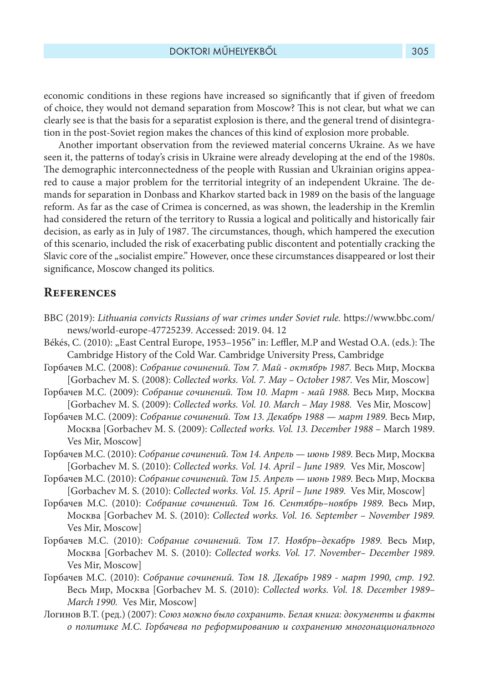economic conditions in these regions have increased so significantly that if given of freedom of choice, they would not demand separation from Moscow? This is not clear, but what we can clearly see is that the basis for a separatist explosion is there, and the general trend of disintegration in the post-Soviet region makes the chances of this kind of explosion more probable.

Another important observation from the reviewed material concerns Ukraine. As we have seen it, the patterns of today's crisis in Ukraine were already developing at the end of the 1980s. The demographic interconnectedness of the people with Russian and Ukrainian origins appeared to cause a major problem for the territorial integrity of an independent Ukraine. The demands for separation in Donbass and Kharkov started back in 1989 on the basis of the language reform. As far as the case of Crimea is concerned, as was shown, the leadership in the Kremlin had considered the return of the territory to Russia a logical and politically and historically fair decision, as early as in July of 1987. The circumstances, though, which hampered the execution of this scenario, included the risk of exacerbating public discontent and potentially cracking the Slavic core of the "socialist empire." However, once these circumstances disappeared or lost their significance, Moscow changed its politics.

# **References**

- BBC (2019): *Lithuania convicts Russians of war crimes under Soviet rule.* https://www.bbc.com/ news/world-europe-47725239. Accessed: 2019. 04. 12
- Békés, C. (2010): "East Central Europe, 1953-1956" in: Leffler, M.P and Westad O.A. (eds.): The Cambridge History of the Cold War. Cambridge University Press, Cambridge
- Горбачев М.С. (2008): *Собрание сочинений. Том 7. Май октябрь 1987.* Весь Мир, Москва [Gorbachev M. S. (2008): *Collected works. Vol. 7. May – October 1987.* Ves Mir, Moscow]
- Горбачев М.С. (2009): *Собрание сочинений. Том 10. Март май 1988.* Весь Мир, Москва [Gorbachev M. S. (2009): *Collected works. Vol. 10. March – May 1988.* Ves Mir, Moscow]
- Горбачев М.С. (2009): *Собрание сочинений. Том 13. Декабрь 1988 март 1989.* Весь Мир, Москва [Gorbachev M. S. (2009): *Collected works. Vol. 13. December 1988* – March 1989. Ves Mir, Moscow]
- Горбачев М.С. (2010): *Собрание сочинений. Том 14. Апрель июнь 1989.* Весь Мир, Москва [Gorbachev M. S. (2010): *Collected works. Vol. 14. April – June 1989.* Ves Mir, Moscow]
- Горбачев М.С. (2010): *Собрание сочинений. Том 15. Апрель июнь 1989.* Весь Мир, Москва [Gorbachev M. S. (2010): *Collected works. Vol. 15. April – June 1989.* Ves Mir, Moscow]
- Горбачев М.С. (2010): *Собрание сочинений. Том 16. Сентябрь–ноябрь 1989.* Весь Мир, Москва [Gorbachev M. S. (2010): *Collected works. Vol. 16. September – November 1989.* Ves Mir, Moscow]
- Горбачев М.С. (2010): *Собрание сочинений. Том 17. Ноябрь–декабрь 1989.* Весь Мир, Москва [Gorbachev M. S. (2010): *Collected works. Vol. 17. November– December 1989*. Ves Mir, Moscow]
- Горбачев М.С. (2010): *Собрание сочинений. Том 18. Декабрь 1989 март 1990, стр. 192*. Весь Мир, Москва [Gorbachev M. S. (2010): *Collected works. Vol. 18. December 1989– March 1990.* Ves Mir, Moscow]
- Логинов В.Т. (ред.) (2007): *Союз можно было сохранить. Белая книга: документы и факты о политике М.С. Горбачева по реформированию и сохранению многонационального*